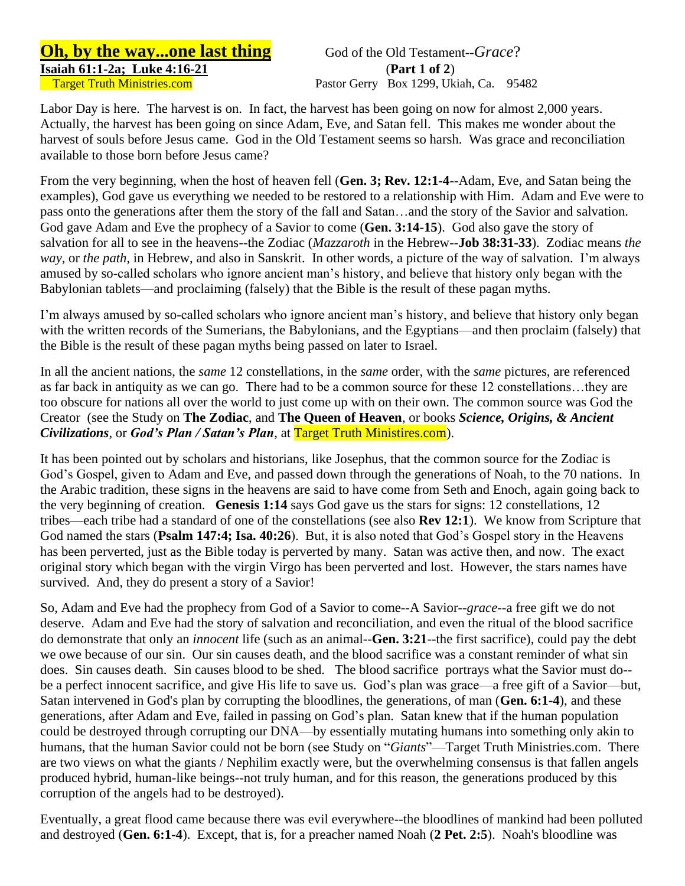**Oh, by the way...one last thing** God of the Old Testament--*Grace*? **Isaiah 61:1-2a; Luke 4:16-21** (**Part 1 of 2**)

Labor Day is here. The harvest is on. In fact, the harvest has been going on now for almost 2,000 years. Actually, the harvest has been going on since Adam, Eve, and Satan fell. This makes me wonder about the harvest of souls before Jesus came. God in the Old Testament seems so harsh. Was grace and reconciliation available to those born before Jesus came?

From the very beginning, when the host of heaven fell (**Gen. 3; Rev. 12:1-4**--Adam, Eve, and Satan being the examples), God gave us everything we needed to be restored to a relationship with Him. Adam and Eve were to pass onto the generations after them the story of the fall and Satan…and the story of the Savior and salvation. God gave Adam and Eve the prophecy of a Savior to come (**Gen. 3:14-15**). God also gave the story of salvation for all to see in the heavens--the Zodiac (*Mazzaroth* in the Hebrew--**Job 38:31-33**). Zodiac means *the way*, or *the path*, in Hebrew, and also in Sanskrit. In other words, a picture of the way of salvation. I'm always amused by so-called scholars who ignore ancient man's history, and believe that history only began with the Babylonian tablets—and proclaiming (falsely) that the Bible is the result of these pagan myths.

I'm always amused by so-called scholars who ignore ancient man's history, and believe that history only began with the written records of the Sumerians, the Babylonians, and the Egyptians—and then proclaim (falsely) that the Bible is the result of these pagan myths being passed on later to Israel.

In all the ancient nations, the *same* 12 constellations, in the *same* order, with the *same* pictures, are referenced as far back in antiquity as we can go. There had to be a common source for these 12 constellations…they are too obscure for nations all over the world to just come up with on their own. The common source was God the Creator (see the Study on **The Zodiac**, and **The Queen of Heaven**, or books *Science, Origins, & Ancient Civilizations*, or *God's Plan / Satan's Plan*, at Target Truth Ministires.com).

It has been pointed out by scholars and historians, like Josephus, that the common source for the Zodiac is God's Gospel, given to Adam and Eve, and passed down through the generations of Noah, to the 70 nations. In the Arabic tradition, these signs in the heavens are said to have come from Seth and Enoch, again going back to the very beginning of creation. **Genesis 1:14** says God gave us the stars for signs: 12 constellations, 12 tribes—each tribe had a standard of one of the constellations (see also **Rev 12:1**). We know from Scripture that God named the stars (**Psalm 147:4; Isa. 40:26**). But, it is also noted that God's Gospel story in the Heavens has been perverted, just as the Bible today is perverted by many. Satan was active then, and now. The exact original story which began with the virgin Virgo has been perverted and lost. However, the stars names have survived. And, they do present a story of a Savior!

So, Adam and Eve had the prophecy from God of a Savior to come--A Savior--*grace*--a free gift we do not deserve. Adam and Eve had the story of salvation and reconciliation, and even the ritual of the blood sacrifice do demonstrate that only an *innocent* life (such as an animal--**Gen. 3:21**--the first sacrifice), could pay the debt we owe because of our sin. Our sin causes death, and the blood sacrifice was a constant reminder of what sin does. Sin causes death. Sin causes blood to be shed. The blood sacrifice portrays what the Savior must do- be a perfect innocent sacrifice, and give His life to save us. God's plan was grace—a free gift of a Savior—but, Satan intervened in God's plan by corrupting the bloodlines, the generations, of man (**Gen. 6:1-4**), and these generations, after Adam and Eve, failed in passing on God's plan. Satan knew that if the human population could be destroyed through corrupting our DNA—by essentially mutating humans into something only akin to humans, that the human Savior could not be born (see Study on "*Giants*"—Target Truth Ministries.com. There are two views on what the giants / Nephilim exactly were, but the overwhelming consensus is that fallen angels produced hybrid, human-like beings--not truly human, and for this reason, the generations produced by this corruption of the angels had to be destroyed).

Eventually, a great flood came because there was evil everywhere--the bloodlines of mankind had been polluted and destroyed (**Gen. 6:1-4**). Except, that is, for a preacher named Noah (**2 Pet. 2:5**). Noah's bloodline was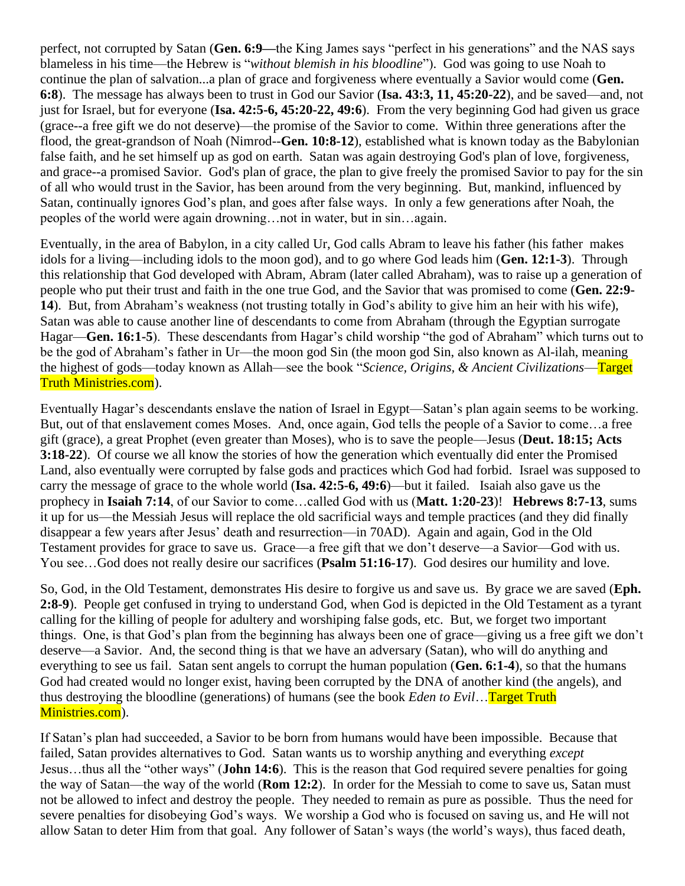perfect, not corrupted by Satan (**Gen. 6:9—**the King James says "perfect in his generations" and the NAS says blameless in his time—the Hebrew is "*without blemish in his bloodline*"). God was going to use Noah to continue the plan of salvation...a plan of grace and forgiveness where eventually a Savior would come (**Gen. 6:8**). The message has always been to trust in God our Savior (**Isa. 43:3, 11, 45:20-22**), and be saved—and, not just for Israel, but for everyone (**Isa. 42:5-6, 45:20-22, 49:6**). From the very beginning God had given us grace (grace--a free gift we do not deserve)—the promise of the Savior to come. Within three generations after the flood, the great-grandson of Noah (Nimrod--**Gen. 10:8-12**), established what is known today as the Babylonian false faith, and he set himself up as god on earth. Satan was again destroying God's plan of love, forgiveness, and grace--a promised Savior. God's plan of grace, the plan to give freely the promised Savior to pay for the sin of all who would trust in the Savior, has been around from the very beginning. But, mankind, influenced by Satan, continually ignores God's plan, and goes after false ways. In only a few generations after Noah, the peoples of the world were again drowning…not in water, but in sin…again.

Eventually, in the area of Babylon, in a city called Ur, God calls Abram to leave his father (his father makes idols for a living—including idols to the moon god), and to go where God leads him (**Gen. 12:1-3**). Through this relationship that God developed with Abram, Abram (later called Abraham), was to raise up a generation of people who put their trust and faith in the one true God, and the Savior that was promised to come (**Gen. 22:9- 14**). But, from Abraham's weakness (not trusting totally in God's ability to give him an heir with his wife), Satan was able to cause another line of descendants to come from Abraham (through the Egyptian surrogate Hagar—**Gen. 16:1-5**). These descendants from Hagar's child worship "the god of Abraham" which turns out to be the god of Abraham's father in Ur—the moon god Sin (the moon god Sin, also known as Al-ilah, meaning the highest of gods—today known as Allah—see the book "*Science, Origins, & Ancient Civilizations*—Target Truth Ministries.com).

Eventually Hagar's descendants enslave the nation of Israel in Egypt—Satan's plan again seems to be working. But, out of that enslavement comes Moses. And, once again, God tells the people of a Savior to come…a free gift (grace), a great Prophet (even greater than Moses), who is to save the people—Jesus (**Deut. 18:15; Acts 3:18-22**). Of course we all know the stories of how the generation which eventually did enter the Promised Land, also eventually were corrupted by false gods and practices which God had forbid. Israel was supposed to carry the message of grace to the whole world (**Isa. 42:5-6, 49:6**)—but it failed. Isaiah also gave us the prophecy in **Isaiah 7:14**, of our Savior to come…called God with us (**Matt. 1:20-23**)! **Hebrews 8:7-13**, sums it up for us—the Messiah Jesus will replace the old sacrificial ways and temple practices (and they did finally disappear a few years after Jesus' death and resurrection—in 70AD). Again and again, God in the Old Testament provides for grace to save us. Grace—a free gift that we don't deserve—a Savior—God with us. You see…God does not really desire our sacrifices (**Psalm 51:16-17**). God desires our humility and love.

So, God, in the Old Testament, demonstrates His desire to forgive us and save us. By grace we are saved (**Eph. 2:8-9**). People get confused in trying to understand God, when God is depicted in the Old Testament as a tyrant calling for the killing of people for adultery and worshiping false gods, etc. But, we forget two important things. One, is that God's plan from the beginning has always been one of grace—giving us a free gift we don't deserve—a Savior. And, the second thing is that we have an adversary (Satan), who will do anything and everything to see us fail. Satan sent angels to corrupt the human population (**Gen. 6:1-4**), so that the humans God had created would no longer exist, having been corrupted by the DNA of another kind (the angels), and thus destroying the bloodline (generations) of humans (see the book *Eden to Evil*…Target Truth Ministries.com).

If Satan's plan had succeeded, a Savior to be born from humans would have been impossible. Because that failed, Satan provides alternatives to God. Satan wants us to worship anything and everything *except*  Jesus…thus all the "other ways" (**John 14:6**). This is the reason that God required severe penalties for going the way of Satan—the way of the world (**Rom 12:2**). In order for the Messiah to come to save us, Satan must not be allowed to infect and destroy the people. They needed to remain as pure as possible. Thus the need for severe penalties for disobeying God's ways. We worship a God who is focused on saving us, and He will not allow Satan to deter Him from that goal. Any follower of Satan's ways (the world's ways), thus faced death,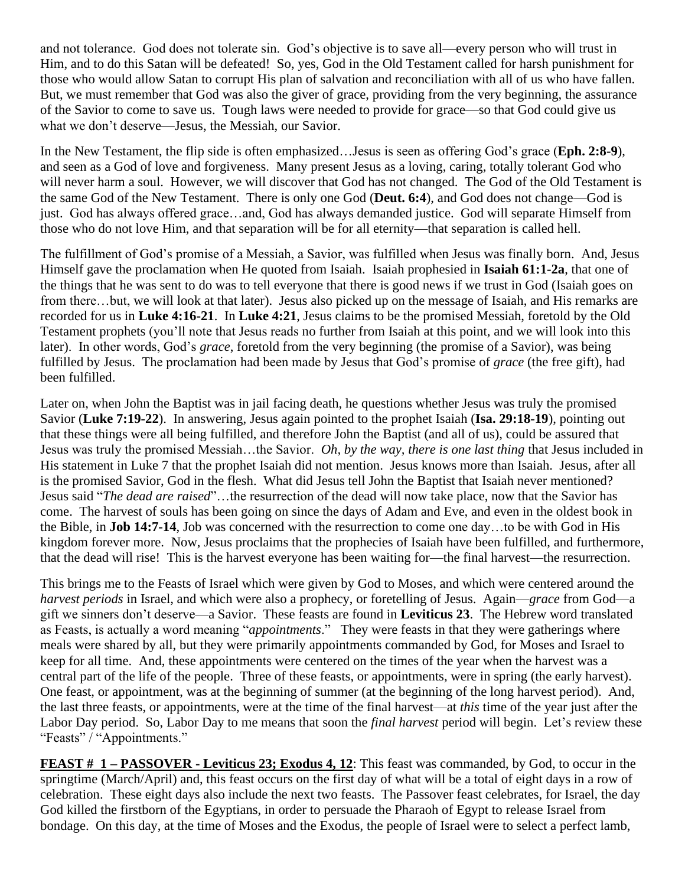and not tolerance. God does not tolerate sin. God's objective is to save all—every person who will trust in Him, and to do this Satan will be defeated! So, yes, God in the Old Testament called for harsh punishment for those who would allow Satan to corrupt His plan of salvation and reconciliation with all of us who have fallen. But, we must remember that God was also the giver of grace, providing from the very beginning, the assurance of the Savior to come to save us. Tough laws were needed to provide for grace—so that God could give us what we don't deserve—Jesus, the Messiah, our Savior.

In the New Testament, the flip side is often emphasized…Jesus is seen as offering God's grace (**Eph. 2:8-9**), and seen as a God of love and forgiveness. Many present Jesus as a loving, caring, totally tolerant God who will never harm a soul. However, we will discover that God has not changed. The God of the Old Testament is the same God of the New Testament. There is only one God (**Deut. 6:4**), and God does not change—God is just. God has always offered grace…and, God has always demanded justice. God will separate Himself from those who do not love Him, and that separation will be for all eternity—that separation is called hell.

The fulfillment of God's promise of a Messiah, a Savior, was fulfilled when Jesus was finally born. And, Jesus Himself gave the proclamation when He quoted from Isaiah. Isaiah prophesied in **Isaiah 61:1-2a**, that one of the things that he was sent to do was to tell everyone that there is good news if we trust in God (Isaiah goes on from there…but, we will look at that later). Jesus also picked up on the message of Isaiah, and His remarks are recorded for us in **Luke 4:16-21**. In **Luke 4:21**, Jesus claims to be the promised Messiah, foretold by the Old Testament prophets (you'll note that Jesus reads no further from Isaiah at this point, and we will look into this later). In other words, God's *grace*, foretold from the very beginning (the promise of a Savior), was being fulfilled by Jesus. The proclamation had been made by Jesus that God's promise of *grace* (the free gift), had been fulfilled.

Later on, when John the Baptist was in jail facing death, he questions whether Jesus was truly the promised Savior (**Luke 7:19-22**). In answering, Jesus again pointed to the prophet Isaiah (**Isa. 29:18-19**), pointing out that these things were all being fulfilled, and therefore John the Baptist (and all of us), could be assured that Jesus was truly the promised Messiah…the Savior. *Oh, by the way, there is one last thing* that Jesus included in His statement in Luke 7 that the prophet Isaiah did not mention. Jesus knows more than Isaiah. Jesus, after all is the promised Savior, God in the flesh. What did Jesus tell John the Baptist that Isaiah never mentioned? Jesus said "*The dead are raised*"…the resurrection of the dead will now take place, now that the Savior has come. The harvest of souls has been going on since the days of Adam and Eve, and even in the oldest book in the Bible, in **Job 14:7-14**, Job was concerned with the resurrection to come one day…to be with God in His kingdom forever more. Now, Jesus proclaims that the prophecies of Isaiah have been fulfilled, and furthermore, that the dead will rise! This is the harvest everyone has been waiting for—the final harvest—the resurrection.

This brings me to the Feasts of Israel which were given by God to Moses, and which were centered around the *harvest periods* in Israel, and which were also a prophecy, or foretelling of Jesus. Again—*grace* from God—a gift we sinners don't deserve—a Savior. These feasts are found in **Leviticus 23**. The Hebrew word translated as Feasts, is actually a word meaning "*appointments*." They were feasts in that they were gatherings where meals were shared by all, but they were primarily appointments commanded by God, for Moses and Israel to keep for all time. And, these appointments were centered on the times of the year when the harvest was a central part of the life of the people. Three of these feasts, or appointments, were in spring (the early harvest). One feast, or appointment, was at the beginning of summer (at the beginning of the long harvest period). And, the last three feasts, or appointments, were at the time of the final harvest—at *this* time of the year just after the Labor Day period. So, Labor Day to me means that soon the *final harvest* period will begin. Let's review these "Feasts" / "Appointments."

**FEAST # 1 – PASSOVER - Leviticus 23; Exodus 4, 12**: This feast was commanded, by God, to occur in the springtime (March/April) and, this feast occurs on the first day of what will be a total of eight days in a row of celebration. These eight days also include the next two feasts. The Passover feast celebrates, for Israel, the day God killed the firstborn of the Egyptians, in order to persuade the Pharaoh of Egypt to release Israel from bondage. On this day, at the time of Moses and the Exodus, the people of Israel were to select a perfect lamb,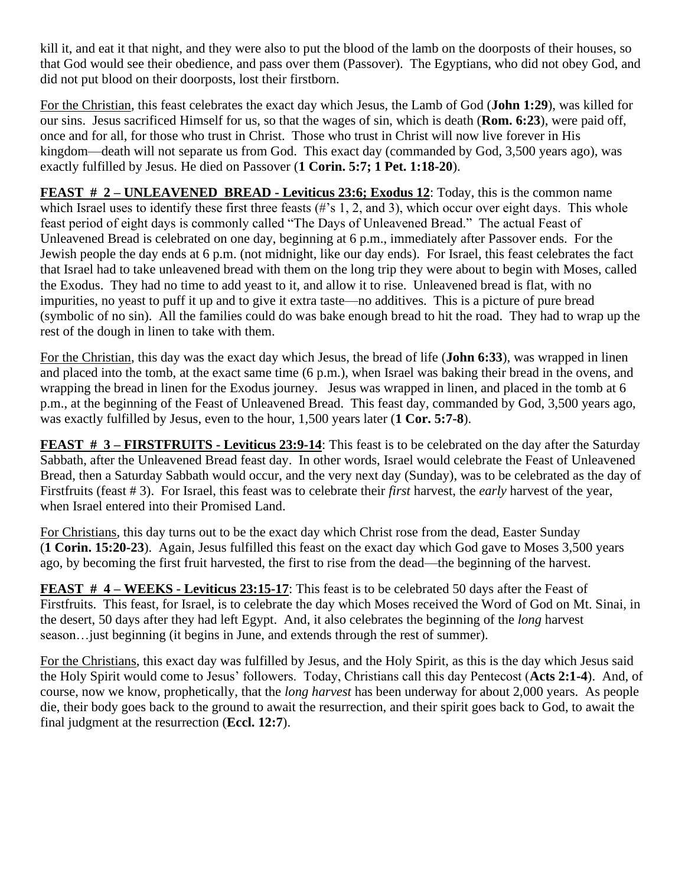kill it, and eat it that night, and they were also to put the blood of the lamb on the doorposts of their houses, so that God would see their obedience, and pass over them (Passover). The Egyptians, who did not obey God, and did not put blood on their doorposts, lost their firstborn.

For the Christian, this feast celebrates the exact day which Jesus, the Lamb of God (**John 1:29**), was killed for our sins. Jesus sacrificed Himself for us, so that the wages of sin, which is death (**Rom. 6:23**), were paid off, once and for all, for those who trust in Christ. Those who trust in Christ will now live forever in His kingdom—death will not separate us from God. This exact day (commanded by God, 3,500 years ago), was exactly fulfilled by Jesus. He died on Passover (**1 Corin. 5:7; 1 Pet. 1:18-20**).

**FEAST # 2 – UNLEAVENED BREAD - Leviticus 23:6; Exodus 12**: Today, this is the common name which Israel uses to identify these first three feasts (#'s 1, 2, and 3), which occur over eight days. This whole feast period of eight days is commonly called "The Days of Unleavened Bread." The actual Feast of Unleavened Bread is celebrated on one day, beginning at 6 p.m., immediately after Passover ends. For the Jewish people the day ends at 6 p.m. (not midnight, like our day ends). For Israel, this feast celebrates the fact that Israel had to take unleavened bread with them on the long trip they were about to begin with Moses, called the Exodus. They had no time to add yeast to it, and allow it to rise. Unleavened bread is flat, with no impurities, no yeast to puff it up and to give it extra taste—no additives. This is a picture of pure bread (symbolic of no sin). All the families could do was bake enough bread to hit the road. They had to wrap up the rest of the dough in linen to take with them.

For the Christian, this day was the exact day which Jesus, the bread of life (**John 6:33**), was wrapped in linen and placed into the tomb, at the exact same time (6 p.m.), when Israel was baking their bread in the ovens, and wrapping the bread in linen for the Exodus journey. Jesus was wrapped in linen, and placed in the tomb at 6 p.m., at the beginning of the Feast of Unleavened Bread. This feast day, commanded by God, 3,500 years ago, was exactly fulfilled by Jesus, even to the hour, 1,500 years later (**1 Cor. 5:7-8**).

**FEAST # 3 – FIRSTFRUITS - Leviticus 23:9-14**: This feast is to be celebrated on the day after the Saturday Sabbath, after the Unleavened Bread feast day. In other words, Israel would celebrate the Feast of Unleavened Bread, then a Saturday Sabbath would occur, and the very next day (Sunday), was to be celebrated as the day of Firstfruits (feast # 3). For Israel, this feast was to celebrate their *first* harvest, the *early* harvest of the year, when Israel entered into their Promised Land.

For Christians, this day turns out to be the exact day which Christ rose from the dead, Easter Sunday (**1 Corin. 15:20-23**). Again, Jesus fulfilled this feast on the exact day which God gave to Moses 3,500 years ago, by becoming the first fruit harvested, the first to rise from the dead—the beginning of the harvest.

**FEAST # 4 – WEEKS - Leviticus 23:15-17**: This feast is to be celebrated 50 days after the Feast of Firstfruits. This feast, for Israel, is to celebrate the day which Moses received the Word of God on Mt. Sinai, in the desert, 50 days after they had left Egypt. And, it also celebrates the beginning of the *long* harvest season…just beginning (it begins in June, and extends through the rest of summer).

For the Christians, this exact day was fulfilled by Jesus, and the Holy Spirit, as this is the day which Jesus said the Holy Spirit would come to Jesus' followers. Today, Christians call this day Pentecost (**Acts 2:1-4**). And, of course, now we know, prophetically, that the *long harvest* has been underway for about 2,000 years. As people die, their body goes back to the ground to await the resurrection, and their spirit goes back to God, to await the final judgment at the resurrection (**Eccl. 12:7**).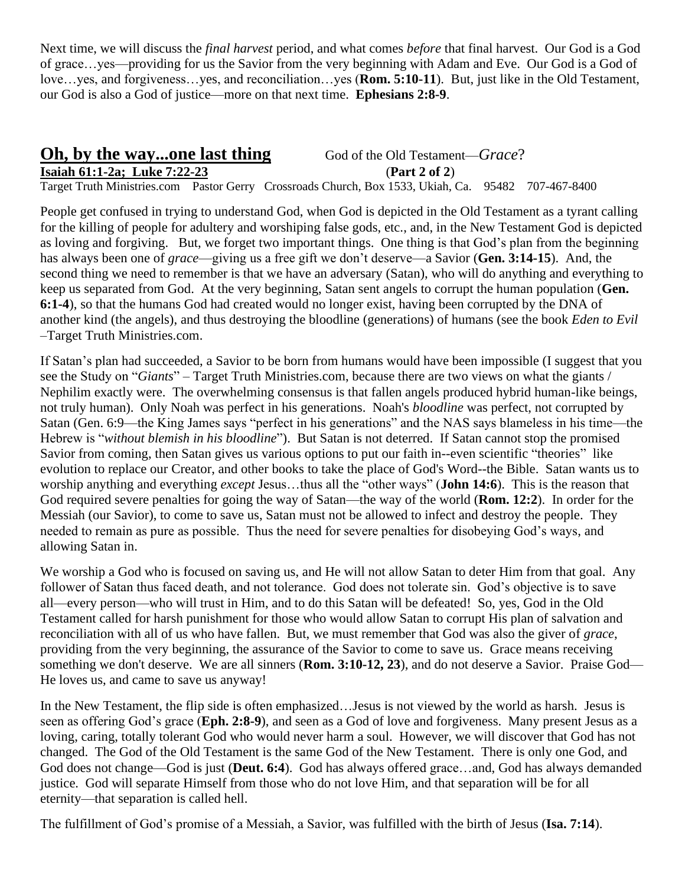Next time, we will discuss the *final harvest* period, and what comes *before* that final harvest. Our God is a God of grace…yes—providing for us the Savior from the very beginning with Adam and Eve. Our God is a God of love…yes, and forgiveness…yes, and reconciliation…yes (**Rom. 5:10-11**). But, just like in the Old Testament, our God is also a God of justice—more on that next time. **Ephesians 2:8-9**.

## **Oh, by the way...one last thing** God of the Old Testament—*Grace*? **Isaiah 61:1-2a; Luke 7:22-23** (**Part 2 of 2**) Target Truth Ministries.com Pastor Gerry Crossroads Church, Box 1533, Ukiah, Ca. 95482 707-467-8400

People get confused in trying to understand God, when God is depicted in the Old Testament as a tyrant calling for the killing of people for adultery and worshiping false gods, etc., and, in the New Testament God is depicted as loving and forgiving. But, we forget two important things. One thing is that God's plan from the beginning has always been one of *grace*—giving us a free gift we don't deserve—a Savior (**Gen. 3:14-15**). And, the second thing we need to remember is that we have an adversary (Satan), who will do anything and everything to keep us separated from God. At the very beginning, Satan sent angels to corrupt the human population (**Gen. 6:1-4**), so that the humans God had created would no longer exist, having been corrupted by the DNA of another kind (the angels), and thus destroying the bloodline (generations) of humans (see the book *Eden to Evil* –Target Truth Ministries.com.

If Satan's plan had succeeded, a Savior to be born from humans would have been impossible (I suggest that you see the Study on "*Giants*" – Target Truth Ministries.com, because there are two views on what the giants / Nephilim exactly were. The overwhelming consensus is that fallen angels produced hybrid human-like beings, not truly human). Only Noah was perfect in his generations. Noah's *bloodline* was perfect, not corrupted by Satan (Gen. 6:9—the King James says "perfect in his generations" and the NAS says blameless in his time—the Hebrew is "*without blemish in his bloodline*"). But Satan is not deterred. If Satan cannot stop the promised Savior from coming, then Satan gives us various options to put our faith in--even scientific "theories" like evolution to replace our Creator, and other books to take the place of God's Word--the Bible. Satan wants us to worship anything and everything *except* Jesus…thus all the "other ways" (**John 14:6**). This is the reason that God required severe penalties for going the way of Satan—the way of the world (**Rom. 12:2**). In order for the Messiah (our Savior), to come to save us, Satan must not be allowed to infect and destroy the people. They needed to remain as pure as possible. Thus the need for severe penalties for disobeying God's ways, and allowing Satan in.

We worship a God who is focused on saving us, and He will not allow Satan to deter Him from that goal. Any follower of Satan thus faced death, and not tolerance. God does not tolerate sin. God's objective is to save all—every person—who will trust in Him, and to do this Satan will be defeated! So, yes, God in the Old Testament called for harsh punishment for those who would allow Satan to corrupt His plan of salvation and reconciliation with all of us who have fallen. But, we must remember that God was also the giver of *grace*, providing from the very beginning, the assurance of the Savior to come to save us. Grace means receiving something we don't deserve. We are all sinners (**Rom. 3:10-12, 23**), and do not deserve a Savior. Praise God— He loves us, and came to save us anyway!

In the New Testament, the flip side is often emphasized…Jesus is not viewed by the world as harsh. Jesus is seen as offering God's grace (**Eph. 2:8-9**), and seen as a God of love and forgiveness. Many present Jesus as a loving, caring, totally tolerant God who would never harm a soul. However, we will discover that God has not changed. The God of the Old Testament is the same God of the New Testament. There is only one God, and God does not change—God is just (**Deut. 6:4**). God has always offered grace…and, God has always demanded justice. God will separate Himself from those who do not love Him, and that separation will be for all eternity—that separation is called hell.

The fulfillment of God's promise of a Messiah, a Savior, was fulfilled with the birth of Jesus (**Isa. 7:14**).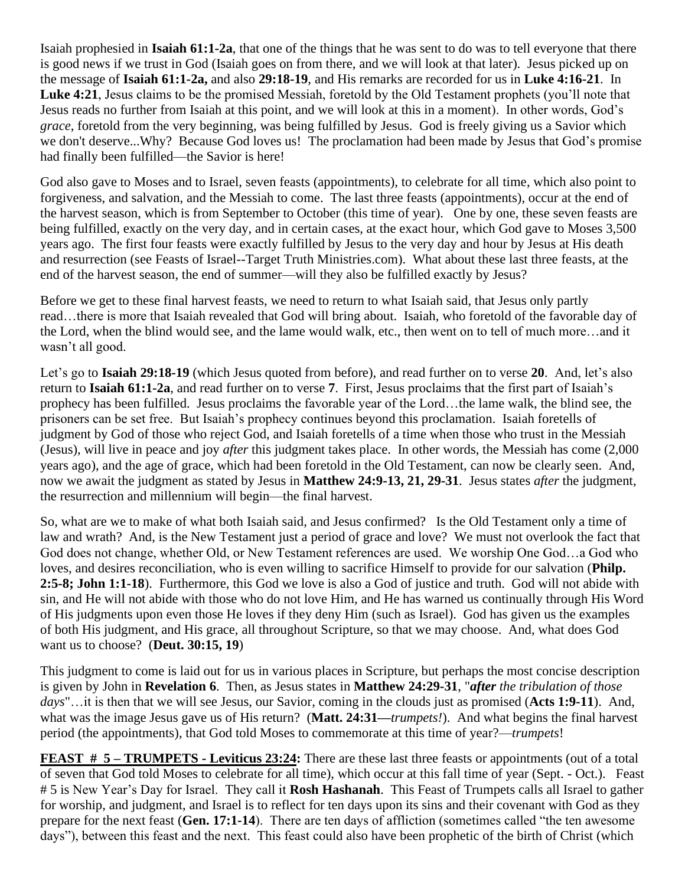Isaiah prophesied in **Isaiah 61:1-2a**, that one of the things that he was sent to do was to tell everyone that there is good news if we trust in God (Isaiah goes on from there, and we will look at that later). Jesus picked up on the message of **Isaiah 61:1-2a,** and also **29:18-19**, and His remarks are recorded for us in **Luke 4:16-21**. In **Luke 4:21**, Jesus claims to be the promised Messiah, foretold by the Old Testament prophets (you'll note that Jesus reads no further from Isaiah at this point, and we will look at this in a moment). In other words, God's *grace*, foretold from the very beginning, was being fulfilled by Jesus. God is freely giving us a Savior which we don't deserve...Why? Because God loves us! The proclamation had been made by Jesus that God's promise had finally been fulfilled—the Savior is here!

God also gave to Moses and to Israel, seven feasts (appointments), to celebrate for all time, which also point to forgiveness, and salvation, and the Messiah to come. The last three feasts (appointments), occur at the end of the harvest season, which is from September to October (this time of year). One by one, these seven feasts are being fulfilled, exactly on the very day, and in certain cases, at the exact hour, which God gave to Moses 3,500 years ago. The first four feasts were exactly fulfilled by Jesus to the very day and hour by Jesus at His death and resurrection (see Feasts of Israel--Target Truth Ministries.com). What about these last three feasts, at the end of the harvest season, the end of summer—will they also be fulfilled exactly by Jesus?

Before we get to these final harvest feasts, we need to return to what Isaiah said, that Jesus only partly read…there is more that Isaiah revealed that God will bring about. Isaiah, who foretold of the favorable day of the Lord, when the blind would see, and the lame would walk, etc., then went on to tell of much more…and it wasn't all good.

Let's go to **Isaiah 29:18-19** (which Jesus quoted from before), and read further on to verse **20**. And, let's also return to **Isaiah 61:1-2a**, and read further on to verse **7**. First, Jesus proclaims that the first part of Isaiah's prophecy has been fulfilled. Jesus proclaims the favorable year of the Lord…the lame walk, the blind see, the prisoners can be set free. But Isaiah's prophecy continues beyond this proclamation. Isaiah foretells of judgment by God of those who reject God, and Isaiah foretells of a time when those who trust in the Messiah (Jesus), will live in peace and joy *after* this judgment takes place. In other words, the Messiah has come (2,000 years ago), and the age of grace, which had been foretold in the Old Testament, can now be clearly seen. And, now we await the judgment as stated by Jesus in **Matthew 24:9-13, 21, 29-31**. Jesus states *after* the judgment, the resurrection and millennium will begin—the final harvest.

So, what are we to make of what both Isaiah said, and Jesus confirmed? Is the Old Testament only a time of law and wrath? And, is the New Testament just a period of grace and love? We must not overlook the fact that God does not change, whether Old, or New Testament references are used. We worship One God…a God who loves, and desires reconciliation, who is even willing to sacrifice Himself to provide for our salvation (**Philp. 2:5-8; John 1:1-18**). Furthermore, this God we love is also a God of justice and truth. God will not abide with sin, and He will not abide with those who do not love Him, and He has warned us continually through His Word of His judgments upon even those He loves if they deny Him (such as Israel). God has given us the examples of both His judgment, and His grace, all throughout Scripture, so that we may choose. And, what does God want us to choose? (**Deut. 30:15, 19**)

This judgment to come is laid out for us in various places in Scripture, but perhaps the most concise description is given by John in **Revelation 6**. Then, as Jesus states in **Matthew 24:29-31**, "*after the tribulation of those days*"…it is then that we will see Jesus, our Savior, coming in the clouds just as promised (**Acts 1:9-11**). And, what was the image Jesus gave us of His return? (**Matt. 24:31—***trumpets!*). And what begins the final harvest period (the appointments), that God told Moses to commemorate at this time of year?—*trumpets*!

**FEAST # 5 – <b>TRUMPETS** - Leviticus 23:24: There are these last three feasts or appointments (out of a total of seven that God told Moses to celebrate for all time), which occur at this fall time of year (Sept. - Oct.). Feast # 5 is New Year's Day for Israel. They call it **Rosh Hashanah**. This Feast of Trumpets calls all Israel to gather for worship, and judgment, and Israel is to reflect for ten days upon its sins and their covenant with God as they prepare for the next feast (**Gen. 17:1-14**). There are ten days of affliction (sometimes called "the ten awesome days"), between this feast and the next. This feast could also have been prophetic of the birth of Christ (which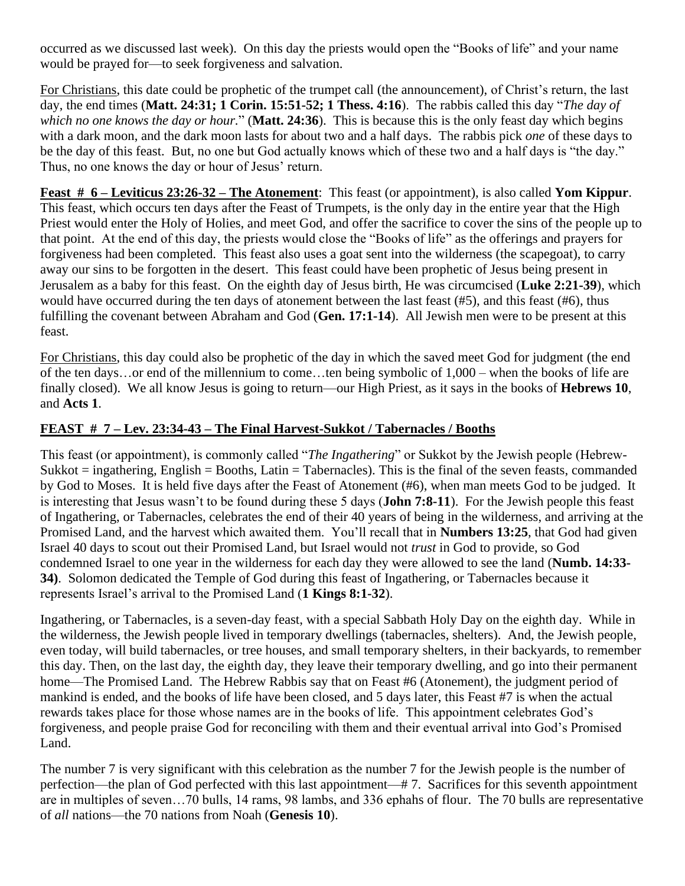occurred as we discussed last week). On this day the priests would open the "Books of life" and your name would be prayed for—to seek forgiveness and salvation.

For Christians, this date could be prophetic of the trumpet call (the announcement), of Christ's return, the last day, the end times (**Matt. 24:31; 1 Corin. 15:51-52; 1 Thess. 4:16**). The rabbis called this day "*The day of which no one knows the day or hour.*" (**Matt. 24:36**). This is because this is the only feast day which begins with a dark moon, and the dark moon lasts for about two and a half days. The rabbis pick *one* of these days to be the day of this feast. But, no one but God actually knows which of these two and a half days is "the day." Thus, no one knows the day or hour of Jesus' return.

**Feast # 6 – Leviticus 23:26-32 – The Atonement**: This feast (or appointment), is also called **Yom Kippur**. This feast, which occurs ten days after the Feast of Trumpets, is the only day in the entire year that the High Priest would enter the Holy of Holies, and meet God, and offer the sacrifice to cover the sins of the people up to that point. At the end of this day, the priests would close the "Books of life" as the offerings and prayers for forgiveness had been completed. This feast also uses a goat sent into the wilderness (the scapegoat), to carry away our sins to be forgotten in the desert. This feast could have been prophetic of Jesus being present in Jerusalem as a baby for this feast. On the eighth day of Jesus birth, He was circumcised (**Luke 2:21-39**), which would have occurred during the ten days of atonement between the last feast (#5), and this feast (#6), thus fulfilling the covenant between Abraham and God (**Gen. 17:1-14**). All Jewish men were to be present at this feast.

For Christians, this day could also be prophetic of the day in which the saved meet God for judgment (the end of the ten days…or end of the millennium to come…ten being symbolic of 1,000 – when the books of life are finally closed). We all know Jesus is going to return—our High Priest, as it says in the books of **Hebrews 10**, and **Acts 1**.

## **FEAST # 7 – Lev. 23:34-43 – The Final Harvest-Sukkot / Tabernacles / Booths**

This feast (or appointment), is commonly called "*The Ingathering*" or Sukkot by the Jewish people (Hebrew- $Sukkot = ingathering$ , English = Booths, Latin = Tabernacles). This is the final of the seven feasts, commanded by God to Moses. It is held five days after the Feast of Atonement (#6), when man meets God to be judged. It is interesting that Jesus wasn't to be found during these 5 days (**John 7:8-11**). For the Jewish people this feast of Ingathering, or Tabernacles, celebrates the end of their 40 years of being in the wilderness, and arriving at the Promised Land, and the harvest which awaited them. You'll recall that in **Numbers 13:25**, that God had given Israel 40 days to scout out their Promised Land, but Israel would not *trust* in God to provide, so God condemned Israel to one year in the wilderness for each day they were allowed to see the land (**Numb. 14:33- 34)**. Solomon dedicated the Temple of God during this feast of Ingathering, or Tabernacles because it represents Israel's arrival to the Promised Land (**1 Kings 8:1-32**).

Ingathering, or Tabernacles, is a seven-day feast, with a special Sabbath Holy Day on the eighth day. While in the wilderness, the Jewish people lived in temporary dwellings (tabernacles, shelters). And, the Jewish people, even today, will build tabernacles, or tree houses, and small temporary shelters, in their backyards, to remember this day. Then, on the last day, the eighth day, they leave their temporary dwelling, and go into their permanent home—The Promised Land. The Hebrew Rabbis say that on Feast #6 (Atonement), the judgment period of mankind is ended, and the books of life have been closed, and 5 days later, this Feast #7 is when the actual rewards takes place for those whose names are in the books of life. This appointment celebrates God's forgiveness, and people praise God for reconciling with them and their eventual arrival into God's Promised Land.

The number 7 is very significant with this celebration as the number 7 for the Jewish people is the number of perfection—the plan of God perfected with this last appointment—# 7. Sacrifices for this seventh appointment are in multiples of seven…70 bulls, 14 rams, 98 lambs, and 336 ephahs of flour. The 70 bulls are representative of *all* nations—the 70 nations from Noah (**Genesis 10**).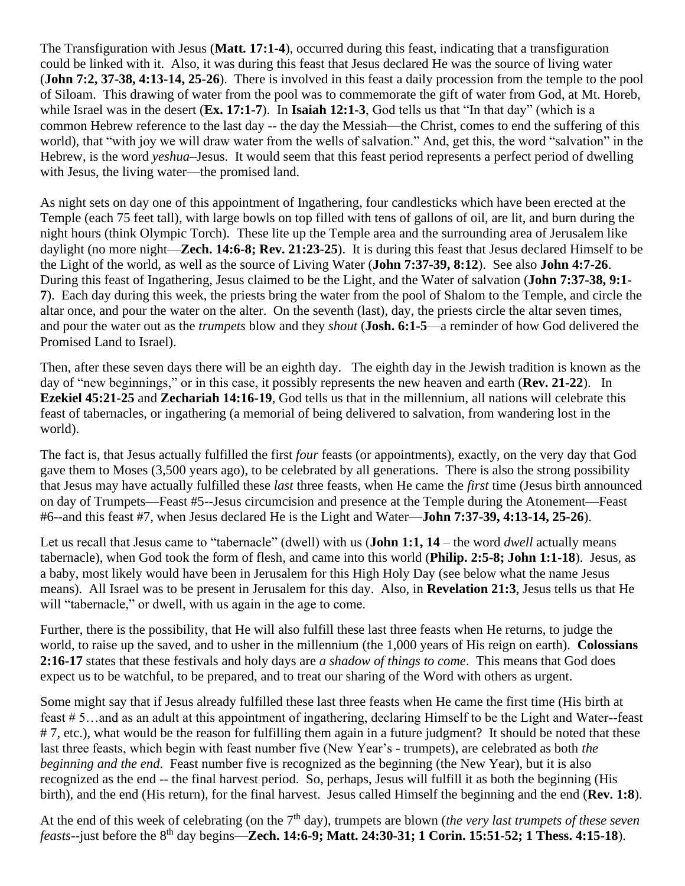The Transfiguration with Jesus (**Matt. 17:1-4**), occurred during this feast, indicating that a transfiguration could be linked with it. Also, it was during this feast that Jesus declared He was the source of living water (**John 7:2, 37-38, 4:13-14, 25-26**). There is involved in this feast a daily procession from the temple to the pool of Siloam. This drawing of water from the pool was to commemorate the gift of water from God, at Mt. Horeb, while Israel was in the desert (**Ex. 17:1-7**). In **Isaiah 12:1-3**, God tells us that "In that day" (which is a common Hebrew reference to the last day -- the day the Messiah—the Christ, comes to end the suffering of this world), that "with joy we will draw water from the wells of salvation." And, get this, the word "salvation" in the Hebrew, is the word *yeshua*–Jesus. It would seem that this feast period represents a perfect period of dwelling with Jesus, the living water—the promised land.

As night sets on day one of this appointment of Ingathering, four candlesticks which have been erected at the Temple (each 75 feet tall), with large bowls on top filled with tens of gallons of oil, are lit, and burn during the night hours (think Olympic Torch). These lite up the Temple area and the surrounding area of Jerusalem like daylight (no more night—**Zech. 14:6-8; Rev. 21:23-25**). It is during this feast that Jesus declared Himself to be the Light of the world, as well as the source of Living Water (**John 7:37-39, 8:12**). See also **John 4:7-26**. During this feast of Ingathering, Jesus claimed to be the Light, and the Water of salvation (**John 7:37-38, 9:1- 7**). Each day during this week, the priests bring the water from the pool of Shalom to the Temple, and circle the altar once, and pour the water on the alter. On the seventh (last), day, the priests circle the altar seven times, and pour the water out as the *trumpets* blow and they *shout* (**Josh. 6:1-5**—a reminder of how God delivered the Promised Land to Israel).

Then, after these seven days there will be an eighth day. The eighth day in the Jewish tradition is known as the day of "new beginnings," or in this case, it possibly represents the new heaven and earth (**Rev. 21-22**). In **Ezekiel 45:21-25** and **Zechariah 14:16-19**, God tells us that in the millennium, all nations will celebrate this feast of tabernacles, or ingathering (a memorial of being delivered to salvation, from wandering lost in the world).

The fact is, that Jesus actually fulfilled the first *four* feasts (or appointments), exactly, on the very day that God gave them to Moses (3,500 years ago), to be celebrated by all generations. There is also the strong possibility that Jesus may have actually fulfilled these *last* three feasts, when He came the *first* time (Jesus birth announced on day of Trumpets—Feast #5--Jesus circumcision and presence at the Temple during the Atonement—Feast #6--and this feast #7, when Jesus declared He is the Light and Water—**John 7:37-39, 4:13-14, 25-26**).

Let us recall that Jesus came to "tabernacle" (dwell) with us (**John 1:1, 14** – the word *dwell* actually means tabernacle), when God took the form of flesh, and came into this world (**Philip. 2:5-8; John 1:1-18**). Jesus, as a baby, most likely would have been in Jerusalem for this High Holy Day (see below what the name Jesus means). All Israel was to be present in Jerusalem for this day. Also, in **Revelation 21:3**, Jesus tells us that He will "tabernacle," or dwell, with us again in the age to come.

Further, there is the possibility, that He will also fulfill these last three feasts when He returns, to judge the world, to raise up the saved, and to usher in the millennium (the 1,000 years of His reign on earth). **Colossians 2:16-17** states that these festivals and holy days are *a shadow of things to come*. This means that God does expect us to be watchful, to be prepared, and to treat our sharing of the Word with others as urgent.

Some might say that if Jesus already fulfilled these last three feasts when He came the first time (His birth at feast # 5…and as an adult at this appointment of ingathering, declaring Himself to be the Light and Water--feast # 7, etc.), what would be the reason for fulfilling them again in a future judgment? It should be noted that these last three feasts, which begin with feast number five (New Year's - trumpets), are celebrated as both *the beginning and the end*. Feast number five is recognized as the beginning (the New Year), but it is also recognized as the end -- the final harvest period. So, perhaps, Jesus will fulfill it as both the beginning (His birth), and the end (His return), for the final harvest. Jesus called Himself the beginning and the end (**Rev. 1:8**).

At the end of this week of celebrating (on the 7th day), trumpets are blown (*the very last trumpets of these seven feasts*--just before the 8th day begins—**Zech. 14:6-9; Matt. 24:30-31; 1 Corin. 15:51-52; 1 Thess. 4:15-18**).